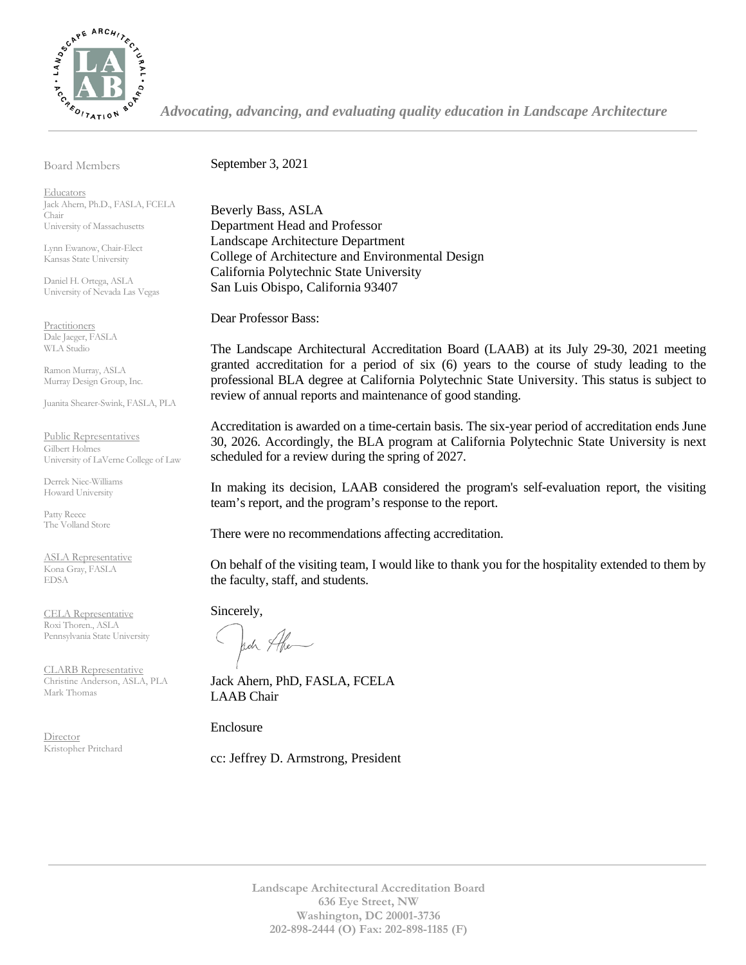

*Advocating, advancing, and evaluating quality education in Landscape Architecture*

Board Members

September 3, 2021

**Educators** Jack Ahern, Ph.D., FASLA, FCELA Chair University of Massachusetts

Lynn Ewanow, Chair-Elect Kansas State University

Daniel H. Ortega, ASLA University of Nevada Las Vegas

**Practitioners** Dale Jaeger, FASLA WLA Studio

Ramon Murray, ASLA Murray Design Group, Inc.

Juanita Shearer-Swink, FASLA, PLA

Public Representatives Gilbert Holmes University of LaVerne College of Law

Derrek Niec-Williams Howard University

Patty Reece The Volland Store

ASLA Representative Kona Gray, FASLA EDSA

CELA Representative Roxi Thoren., ASLA Pennsylvania State University

CLARB Representative Christine Anderson, ASLA, PLA Mark Thomas

Director Kristopher Pritchard Beverly Bass, ASLA Department Head and Professor Landscape Architecture Department College of Architecture and Environmental Design California Polytechnic State University San Luis Obispo, California 93407

Dear Professor Bass:

The Landscape Architectural Accreditation Board (LAAB) at its July 29-30, 2021 meeting granted accreditation for a period of six (6) years to the course of study leading to the professional BLA degree at California Polytechnic State University. This status is subject to review of annual reports and maintenance of good standing.

Accreditation is awarded on a time-certain basis. The six-year period of accreditation ends June 30, 2026. Accordingly, the BLA program at California Polytechnic State University is next scheduled for a review during the spring of 2027.

In making its decision, LAAB considered the program's self-evaluation report, the visiting team's report, and the program's response to the report.

There were no recommendations affecting accreditation.

On behalf of the visiting team, I would like to thank you for the hospitality extended to them by the faculty, staff, and students.

Sincerely,

Jack Ahe

Jack Ahern, PhD, FASLA, FCELA LAAB Chair

Enclosure

cc: Jeffrey D. Armstrong, President